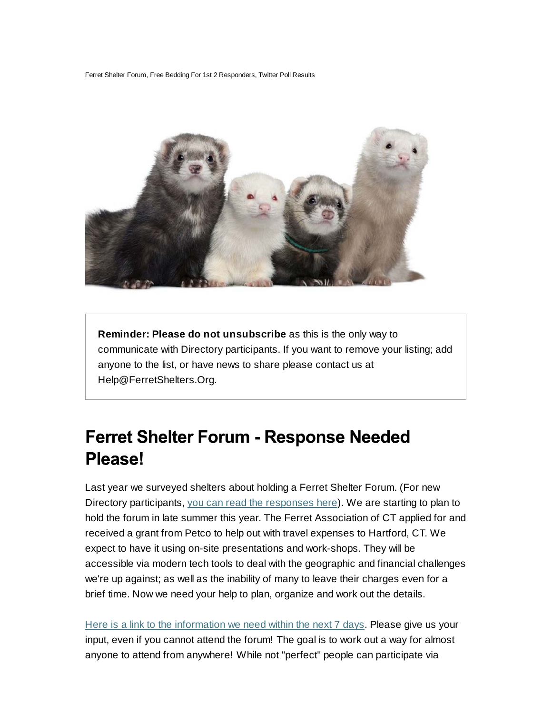Ferret Shelter Forum, Free Bedding For 1st 2 Responders, Twitter Poll Results



**Reminder: Please do not unsubscribe** as this is the only way to communicate with Directory participants. If you want to remove your listing; add anyone to the list, or have news to share please contact us at Help@FerretShelters.Org.

## **Ferret Shelter Forum - Response Needed** Please!

Last year we surveyed shelters about holding a Ferret Shelter Forum. (For new Directory participants, you can read the responses here). We are starting to plan to hold the forum in late summer this year. The Ferret Association of CT applied for and received a grant from Petco to help out with travel expenses to Hartford, CT. We expect to have it using on-site presentations and work-shops. They will be accessible via modern tech tools to deal with the geographic and financial challenges we're up against; as well as the inability of many to leave their charges even for a brief time. Now we need your help to plan, organize and work out the details.

Here is a link to the information we need within the next 7 days. Please give us your input, even if you cannot attend the forum! The goal is to work out a way for almost anyone to attend from anywhere! While not "perfect" people can participate via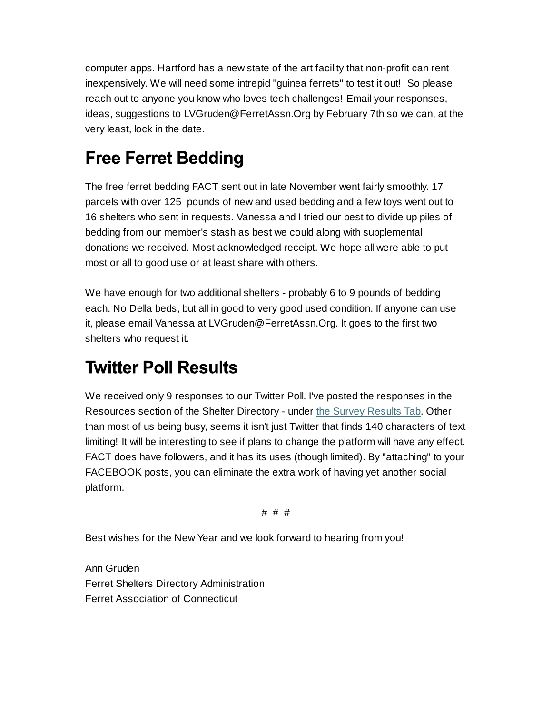computer apps. Hartford has a new state of the art facility that non-profit can rent inexpensively. We will need some intrepid "guinea ferrets" to test it out! So please reach out to anyone you know who loves tech challenges! Email your responses, ideas, suggestions to LVGruden@FerretAssn.Org by February 7th so we can, at the very least, lock in the date.

## **Free Ferret Bedding**

The free ferret bedding FACT sent out in late November went fairly smoothly. 17 parcels with over 125 pounds of new and used bedding and a few toys went out to 16 shelters who sent in requests. Vanessa and I tried our best to divide up piles of bedding from our member's stash as best we could along with supplemental donations we received. Most acknowledged receipt. We hope all were able to put most or all to good use or at least share with others.

We have enough for two additional shelters - probably 6 to 9 pounds of bedding each. No Della beds, but all in good to very good used condition. If anyone can use it, please email Vanessa at LVGruden@FerretAssn.Org. It goes to the first two shelters who request it.

## **Twitter Poll Results**

We received only 9 responses to our Twitter Poll. I've posted the responses in the Resources section of the Shelter Directory - under the Survey Results Tab. Other than most of us being busy, seems it isn't just Twitter that finds 140 characters of text limiting! It will be interesting to see if plans to change the platform will have any effect. FACT does have followers, and it has its uses (though limited). By "attaching" to your FACEBOOK posts, you can eliminate the extra work of having yet another social platform.

# # #

Best wishes for the New Year and we look forward to hearing from you!

Ann Gruden Ferret Shelters Directory Administration Ferret Association of Connecticut